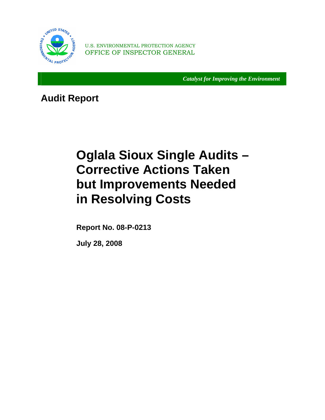

OFFICE OF INSPECTOR GENERAL U.S. ENVIRONMENTAL PROTECTION AGENCY

*Catalyst for Improving the Environment* 

**Audit Report** 

# **Oglala Sioux Single Audits – Corrective Actions Taken but Improvements Needed in Resolving Costs**

 **Report No. 08-P-0213** 

 **July 28, 2008**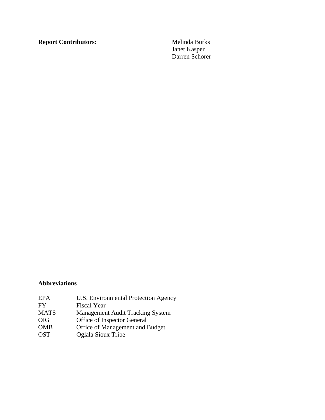**Report Contributors:** Melinda Burks

 Janet Kasper Darren Schorer

## **Abbreviations**

| U.S. Environmental Protection Agency    |
|-----------------------------------------|
| <b>Fiscal Year</b>                      |
| <b>Management Audit Tracking System</b> |
| Office of Inspector General             |
| Office of Management and Budget         |
| Oglala Sioux Tribe                      |
|                                         |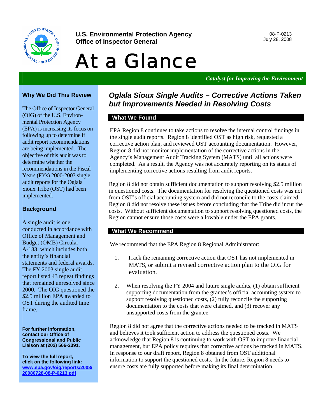

**U.S. Environmental Protection Agency and the Contract of the U.S. Environmental Protection Agency** and the Const<br> **Office of Increator General Office of Inspector General** 

# At a Glance

*Catalyst for Improving the Environment* 

## **Why We Did This Review**

The Office of Inspector General (OIG) of the U.S. Environmental Protection Agency (EPA) is increasing its focus on following up to determine if audit report recommendations are being implemented. The objective of this audit was to determine whether the recommendations in the Fiscal Years (FYs) 2000-2003 single audit reports for the Oglala Sioux Tribe (OST) had been implemented.

#### **Background**

A single audit is one conducted in accordance with Office of Management and Budget (OMB) Circular A-133, which includes both the entity's financial statements and federal awards. The FY 2003 single audit report listed 43 repeat findings that remained unresolved since 2000. The OIG questioned the \$2.5 million EPA awarded to OST during the audited time frame.

**For further information, contact our Office of Congressional and Public Liaison at (202) 566-2391.** 

**To view the full report, click on the following link: [www.epa.gov/oig/reports/2008/](http://www.epa.gov/oig/reports/2008/20080728-08-P-0213.pdf)  20080728-08-P-0213.pdf** 

## *Oglala Sioux Single Audits – Corrective Actions Taken but Improvements Needed in Resolving Costs*

## **What We Found**

EPA Region 8 continues to take actions to resolve the internal control findings in the single audit reports. Region 8 identified OST as high risk, requested a corrective action plan, and reviewed OST accounting documentation. However, Region 8 did not monitor implementation of the corrective actions in the Agency's Management Audit Tracking System (MATS) until all actions were completed. As a result, the Agency was not accurately reporting on its status of implementing corrective actions resulting from audit reports.

Region 8 did not obtain sufficient documentation to support resolving \$2.5 million in questioned costs. The documentation for resolving the questioned costs was not from OST's official accounting system and did not reconcile to the costs claimed. Region 8 did not resolve these issues before concluding that the Tribe did incur the costs. Without sufficient documentation to support resolving questioned costs, the Region cannot ensure those costs were allowable under the EPA grants.

#### **What We Recommend**

We recommend that the EPA Region 8 Regional Administrator:

- 1. Track the remaining corrective action that OST has not implemented in MATS, or submit a revised corrective action plan to the OIG for evaluation.
- 2. When resolving the FY 2004 and future single audits, (1) obtain sufficient supporting documentation from the grantee's official accounting system to support resolving questioned costs, (2) fully reconcile the supporting documentation to the costs that were claimed, and (3) recover any unsupported costs from the grantee.

Region 8 did not agree that the corrective actions needed to be tracked in MATS and believes it took sufficient action to address the questioned costs. We acknowledge that Region 8 is continuing to work with OST to improve financial management, but EPA policy requires that corrective actions be tracked in MATS. In response to our draft report, Region 8 obtained from OST additional information to support the questioned costs. In the future, Region 8 needs to ensure costs are fully supported before making its final determination.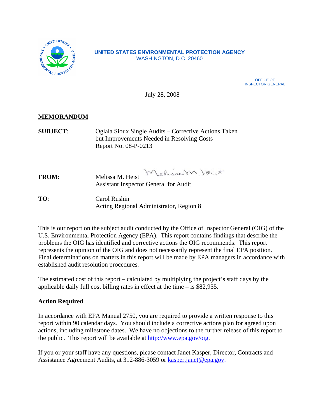

#### **UNITED STATES ENVIRONMENTAL PROTECTION AGENCY**  WASHINGTON, D.C. 20460

OFFICE OF INSPECTOR GENERAL

July 28, 2008

## **MEMORANDUM**

**SUBJECT**: Oglala Sioux Single Audits – Corrective Actions Taken but Improvements Needed in Resolving Costs Report No. 08-P-0213

Lelissem, Heist **FROM**: Melissa M. Heist Assistant Inspector General for Audit

**TO**: Carol Rushin Acting Regional Administrator, Region 8

This is our report on the subject audit conducted by the Office of Inspector General (OIG) of the U.S. Environmental Protection Agency (EPA). This report contains findings that describe the problems the OIG has identified and corrective actions the OIG recommends. This report represents the opinion of the OIG and does not necessarily represent the final EPA position. Final determinations on matters in this report will be made by EPA managers in accordance with established audit resolution procedures.

The estimated cost of this report – calculated by multiplying the project's staff days by the applicable daily full cost billing rates in effect at the time – is \$82,955.

## **Action Required**

In accordance with EPA Manual 2750, you are required to provide a written response to this report within 90 calendar days. You should include a corrective actions plan for agreed upon actions, including milestone dates. We have no objections to the further release of this report to the public. This report will be available at [http://www.epa.gov/oig.](http://www.epa.gov/oig) 

If you or your staff have any questions, please contact Janet Kasper, Director, Contracts and Assistance Agreement Audits, at 312-886-3059 or [kasper.janet@epa.gov.](mailto:kasper.janet@epa.gov)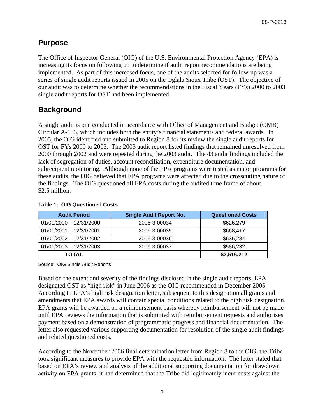## **Purpose**

The Office of Inspector General (OIG) of the U.S. Environmental Protection Agency (EPA) is increasing its focus on following up to determine if audit report recommendations are being implemented. As part of this increased focus, one of the audits selected for follow-up was a series of single audit reports issued in 2005 on the Oglala Sioux Tribe (OST). The objective of our audit was to determine whether the recommendations in the Fiscal Years (FYs) 2000 to 2003 single audit reports for OST had been implemented.

## **Background**

A single audit is one conducted in accordance with Office of Management and Budget (OMB) Circular A-133, which includes both the entity's financial statements and federal awards. In 2005, the OIG identified and submitted to Region 8 for its review the single audit reports for OST for FYs 2000 to 2003. The 2003 audit report listed findings that remained unresolved from 2000 through 2002 and were repeated during the 2003 audit. The 43 audit findings included the lack of segregation of duties, account reconciliation, expenditure documentation, and subrecipient monitoring. Although none of the EPA programs were tested as major programs for these audits, the OIG believed that EPA programs were affected due to the crosscutting nature of the findings. The OIG questioned all EPA costs during the audited time frame of about \$2.5 million:

| <b>Audit Period</b>       | <b>Single Audit Report No.</b> | <b>Questioned Costs</b> |
|---------------------------|--------------------------------|-------------------------|
| $01/01/2000 - 12/31/2000$ | 2006-3-00034                   | \$626,279               |
| $01/01/2001 - 12/31/2001$ | 2006-3-00035                   | \$668,417               |
| $01/01/2002 - 12/31/2002$ | 2006-3-00036                   | \$635,284               |
| $01/01/2003 - 12/31/2003$ | 2006-3-00037                   | \$586,232               |
| TOTAL                     |                                | \$2,516,212             |

#### **Table 1: OIG Questioned Costs**

Source: OIG Single Audit Reports

Based on the extent and severity of the findings disclosed in the single audit reports, EPA designated OST as "high risk" in June 2006 as the OIG recommended in December 2005. According to EPA's high risk designation letter, subsequent to this designation all grants and amendments that EPA awards will contain special conditions related to the high risk designation. EPA grants will be awarded on a reimbursement basis whereby reimbursement will not be made until EPA reviews the information that is submitted with reimbursement requests and authorizes payment based on a demonstration of programmatic progress and financial documentation. The letter also requested various supporting documentation for resolution of the single audit findings and related questioned costs.

According to the November 2006 final determination letter from Region 8 to the OIG, the Tribe took significant measures to provide EPA with the requested information. The letter stated that based on EPA's review and analysis of the additional supporting documentation for drawdown activity on EPA grants, it had determined that the Tribe did legitimately incur costs against the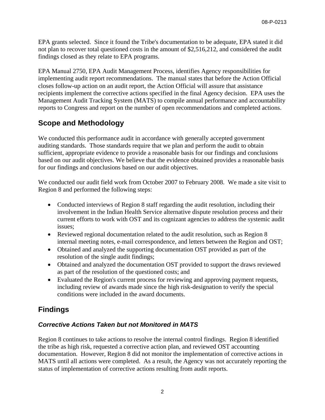EPA grants selected. Since it found the Tribe's documentation to be adequate, EPA stated it did not plan to recover total questioned costs in the amount of \$2,516,212, and considered the audit findings closed as they relate to EPA programs.

EPA Manual 2750, EPA Audit Management Process, identifies Agency responsibilities for implementing audit report recommendations. The manual states that before the Action Official closes follow-up action on an audit report, the Action Official will assure that assistance recipients implement the corrective actions specified in the final Agency decision. EPA uses the Management Audit Tracking System (MATS) to compile annual performance and accountability reports to Congress and report on the number of open recommendations and completed actions.

## **Scope and Methodology**

We conducted this performance audit in accordance with generally accepted government auditing standards. Those standards require that we plan and perform the audit to obtain sufficient, appropriate evidence to provide a reasonable basis for our findings and conclusions based on our audit objectives. We believe that the evidence obtained provides a reasonable basis for our findings and conclusions based on our audit objectives.

We conducted our audit field work from October 2007 to February 2008. We made a site visit to Region 8 and performed the following steps:

- Conducted interviews of Region 8 staff regarding the audit resolution, including their involvement in the Indian Health Service alternative dispute resolution process and their current efforts to work with OST and its cognizant agencies to address the systemic audit issues;
- Reviewed regional documentation related to the audit resolution, such as Region 8 internal meeting notes, e-mail correspondence, and letters between the Region and OST;
- Obtained and analyzed the supporting documentation OST provided as part of the resolution of the single audit findings;
- Obtained and analyzed the documentation OST provided to support the draws reviewed as part of the resolution of the questioned costs; and
- Evaluated the Region's current process for reviewing and approving payment requests, including review of awards made since the high risk-designation to verify the special conditions were included in the award documents.

## **Findings**

## *Corrective Actions Taken but not Monitored in MATS*

Region 8 continues to take actions to resolve the internal control findings. Region 8 identified the tribe as high risk, requested a corrective action plan, and reviewed OST accounting documentation. However, Region 8 did not monitor the implementation of corrective actions in MATS until all actions were completed. As a result, the Agency was not accurately reporting the status of implementation of corrective actions resulting from audit reports.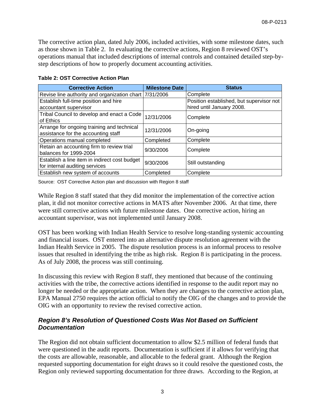The corrective action plan, dated July 2006, included activities, with some milestone dates, such as those shown in Table 2. In evaluating the corrective actions, Region 8 reviewed OST's operations manual that included descriptions of internal controls and contained detailed step-bystep descriptions of how to properly document accounting activities.

| <b>Corrective Action</b>                                                          | <b>Milestone Date</b> | <b>Status</b>                                                         |
|-----------------------------------------------------------------------------------|-----------------------|-----------------------------------------------------------------------|
| Revise line authority and organization chart                                      | 7/31/2006             | Complete                                                              |
| Establish full-time position and hire<br>accountant supervisor                    |                       | Position established, but supervisor not<br>hired until January 2008. |
| Tribal Council to develop and enact a Code<br>of Ethics                           | 12/31/2006            | Complete                                                              |
| Arrange for ongoing training and technical<br>assistance for the accounting staff | 12/31/2006            | On-going                                                              |
| Operations manual completed                                                       | Completed             | Complete                                                              |
| Retain an accounting firm to review trial<br>balances for 1999-2004               | 9/30/2006             | Complete                                                              |
| Establish a line item in indirect cost budget<br>for internal auditing services   | 9/30/2006             | Still outstanding                                                     |
| Establish new system of accounts                                                  | Completed             | Complete                                                              |

#### **Table 2: OST Corrective Action Plan**

Source: OST Corrective Action plan and discussion with Region 8 staff

While Region 8 staff stated that they did monitor the implementation of the corrective action plan, it did not monitor corrective actions in MATS after November 2006. At that time, there were still corrective actions with future milestone dates. One corrective action, hiring an accountant supervisor, was not implemented until January 2008.

OST has been working with Indian Health Service to resolve long-standing systemic accounting and financial issues. OST entered into an alternative dispute resolution agreement with the Indian Health Service in 2005. The dispute resolution process is an informal process to resolve issues that resulted in identifying the tribe as high risk. Region 8 is participating in the process. As of July 2008, the process was still continuing.

In discussing this review with Region 8 staff, they mentioned that because of the continuing activities with the tribe, the corrective actions identified in response to the audit report may no longer be needed or the appropriate action. When they are changes to the corrective action plan, EPA Manual 2750 requires the action official to notify the OIG of the changes and to provide the OIG with an opportunity to review the revised corrective action.

## *Region 8's Resolution of Questioned Costs Was Not Based on Sufficient Documentation*

The Region did not obtain sufficient documentation to allow \$2.5 million of federal funds that were questioned in the audit reports. Documentation is sufficient if it allows for verifying that the costs are allowable, reasonable, and allocable to the federal grant. Although the Region requested supporting documentation for eight draws so it could resolve the questioned costs, the Region only reviewed supporting documentation for three draws. According to the Region, at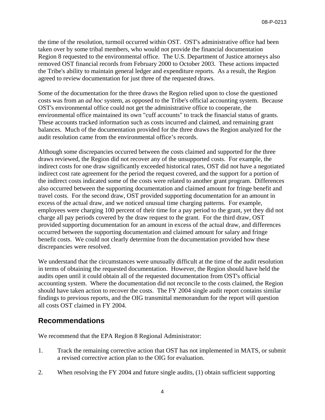the time of the resolution, turmoil occurred within OST. OST's administrative office had been taken over by some tribal members, who would not provide the financial documentation Region 8 requested to the environmental office. The U.S. Department of Justice attorneys also removed OST financial records from February 2000 to October 2003. These actions impacted the Tribe's ability to maintain general ledger and expenditure reports. As a result, the Region agreed to review documentation for just three of the requested draws.

Some of the documentation for the three draws the Region relied upon to close the questioned costs was from an *ad hoc* system, as opposed to the Tribe's official accounting system. Because OST's environmental office could not get the administrative office to cooperate, the environmental office maintained its own "cuff accounts" to track the financial status of grants. These accounts tracked information such as costs incurred and claimed, and remaining grant balances. Much of the documentation provided for the three draws the Region analyzed for the audit resolution came from the environmental office's records.

Although some discrepancies occurred between the costs claimed and supported for the three draws reviewed, the Region did not recover any of the unsupported costs. For example, the indirect costs for one draw significantly exceeded historical rates, OST did not have a negotiated indirect cost rate agreement for the period the request covered, and the support for a portion of the indirect costs indicated some of the costs were related to another grant program. Differences also occurred between the supporting documentation and claimed amount for fringe benefit and travel costs. For the second draw, OST provided supporting documentation for an amount in excess of the actual draw, and we noticed unusual time charging patterns. For example, employees were charging 100 percent of their time for a pay period to the grant, yet they did not charge all pay periods covered by the draw request to the grant. For the third draw, OST provided supporting documentation for an amount in excess of the actual draw, and differences occurred between the supporting documentation and claimed amount for salary and fringe benefit costs. We could not clearly determine from the documentation provided how these discrepancies were resolved.

We understand that the circumstances were unusually difficult at the time of the audit resolution in terms of obtaining the requested documentation. However, the Region should have held the audits open until it could obtain all of the requested documentation from OST's official accounting system. Where the documentation did not reconcile to the costs claimed, the Region should have taken action to recover the costs. The FY 2004 single audit report contains similar findings to previous reports, and the OIG transmittal memorandum for the report will question all costs OST claimed in FY 2004.

## **Recommendations**

We recommend that the EPA Region 8 Regional Administrator:

- 1. Track the remaining corrective action that OST has not implemented in MATS, or submit a revised corrective action plan to the OIG for evaluation.
- 2. When resolving the FY 2004 and future single audits, (1) obtain sufficient supporting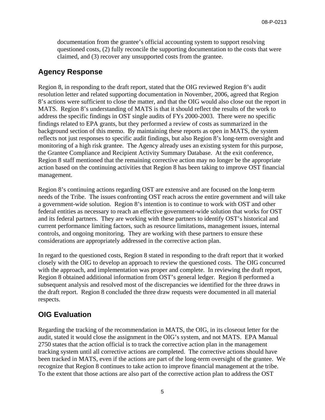documentation from the grantee's official accounting system to support resolving questioned costs, (2) fully reconcile the supporting documentation to the costs that were claimed, and (3) recover any unsupported costs from the grantee.

## **Agency Response**

Region 8, in responding to the draft report, stated that the OIG reviewed Region 8's audit resolution letter and related supporting documentation in November, 2006, agreed that Region 8's actions were sufficient to close the matter, and that the OIG would also close out the report in MATS. Region 8's understanding of MATS is that it should reflect the results of the work to address the specific findings in OST single audits of FYs 2000-2003. There were no specific findings related to EPA grants, but they performed a review of costs as summarized in the background section of this memo. By maintaining these reports as open in MATS, the system reflects not just responses to specific audit findings, but also Region 8's long-term oversight and monitoring of a high risk grantee. The Agency already uses an existing system for this purpose, the Grantee Compliance and Recipient Activity Summary Database. At the exit conference, Region 8 staff mentioned that the remaining corrective action may no longer be the appropriate action based on the continuing activities that Region 8 has been taking to improve OST financial management.

Region 8's continuing actions regarding OST are extensive and are focused on the long-term needs of the Tribe. The issues confronting OST reach across the entire government and will take a government-wide solution. Region 8's intention is to continue to work with OST and other federal entities as necessary to reach an effective government-wide solution that works for OST and its federal partners. They are working with these partners to identify OST's historical and current performance limiting factors, such as resource limitations, management issues, internal controls, and ongoing monitoring. They are working with these partners to ensure these considerations are appropriately addressed in the corrective action plan.

In regard to the questioned costs, Region 8 stated in responding to the draft report that it worked closely with the OIG to develop an approach to review the questioned costs. The OIG concurred with the approach, and implementation was proper and complete. In reviewing the draft report, Region 8 obtained additional information from OST's general ledger. Region 8 performed a subsequent analysis and resolved most of the discrepancies we identified for the three draws in the draft report. Region 8 concluded the three draw requests were documented in all material respects.

## **OIG Evaluation**

Regarding the tracking of the recommendation in MATS, the OIG, in its closeout letter for the audit, stated it would close the assignment in the OIG's system, and not MATS. EPA Manual 2750 states that the action official is to track the corrective action plan in the management tracking system until all corrective actions are completed. The corrective actions should have been tracked in MATS, even if the actions are part of the long-term oversight of the grantee. We recognize that Region 8 continues to take action to improve financial management at the tribe. To the extent that those actions are also part of the corrective action plan to address the OST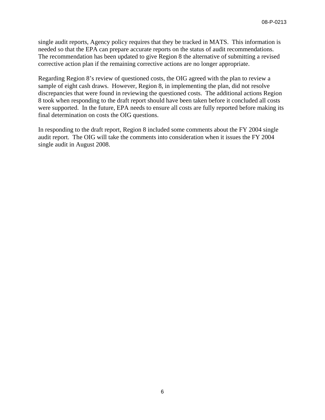single audit reports, Agency policy requires that they be tracked in MATS. This information is needed so that the EPA can prepare accurate reports on the status of audit recommendations. The recommendation has been updated to give Region 8 the alternative of submitting a revised corrective action plan if the remaining corrective actions are no longer appropriate.

Regarding Region 8's review of questioned costs, the OIG agreed with the plan to review a sample of eight cash draws. However, Region 8, in implementing the plan, did not resolve discrepancies that were found in reviewing the questioned costs. The additional actions Region 8 took when responding to the draft report should have been taken before it concluded all costs were supported. In the future, EPA needs to ensure all costs are fully reported before making its final determination on costs the OIG questions.

In responding to the draft report, Region 8 included some comments about the FY 2004 single audit report. The OIG will take the comments into consideration when it issues the FY 2004 single audit in August 2008.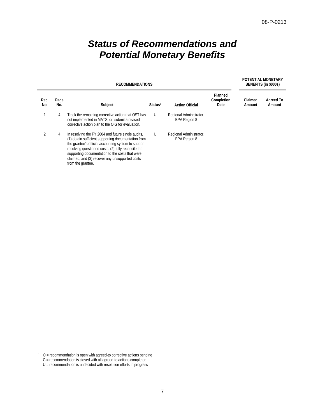# *Status of Recommendations and Potential Monetary Benefits*

| <b>RECOMMENDATIONS</b> |             |                                                                                                                                                                                                                                                                                                                                                   |                     | POTENTIAL MONETARY<br>BENEFITS (in \$000s) |                               |                   |                            |
|------------------------|-------------|---------------------------------------------------------------------------------------------------------------------------------------------------------------------------------------------------------------------------------------------------------------------------------------------------------------------------------------------------|---------------------|--------------------------------------------|-------------------------------|-------------------|----------------------------|
| Rec.<br>No.            | Page<br>No. | Subject                                                                                                                                                                                                                                                                                                                                           | Status <sup>1</sup> | <b>Action Official</b>                     | Planned<br>Completion<br>Date | Claimed<br>Amount | <b>Agreed To</b><br>Amount |
|                        | 4           | Track the remaining corrective action that OST has<br>not implemented in MATS, or submit a revised<br>corrective action plan to the OIG for evaluation.                                                                                                                                                                                           | U                   | Regional Administrator,<br>EPA Region 8    |                               |                   |                            |
| $\mathfrak{D}$         | 4           | In resolving the FY 2004 and future single audits,<br>(1) obtain sufficient supporting documentation from<br>the grantee's official accounting system to support<br>resolving questioned costs, (2) fully reconcile the<br>supporting documentation to the costs that were<br>claimed, and (3) recover any unsupported costs<br>from the grantee. | U                   | Regional Administrator,<br>EPA Region 8    |                               |                   |                            |

 $O =$  recommendation is open with agreed-to corrective actions pending

C = recommendation is closed with all agreed-to actions completed

U = recommendation is undecided with resolution efforts in progress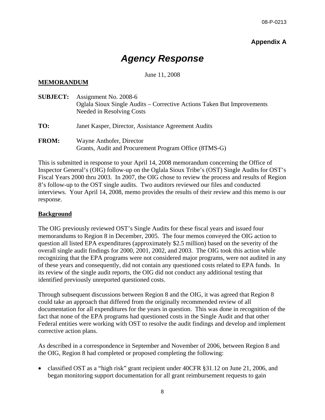## **Appendix A**

# *Agency Response*

## June 11, 2008

## **MEMORANDUM**

| <b>SUBJECT:</b> | Assignment No. 2008-6<br>Oglala Sioux Single Audits – Corrective Actions Taken But Improvements<br>Needed in Resolving Costs |
|-----------------|------------------------------------------------------------------------------------------------------------------------------|
| TO:             | Janet Kasper, Director, Assistance Agreement Audits                                                                          |
| <b>FROM:</b>    | Wayne Anthofer, Director<br>Grants, Audit and Procurement Program Office (8TMS-G)                                            |

This is submitted in response to your April 14, 2008 memorandum concerning the Office of Inspector General's (OIG) follow-up on the Oglala Sioux Tribe's (OST) Single Audits for OST's Fiscal Years 2000 thru 2003. In 2007, the OIG chose to review the process and results of Region 8's follow-up to the OST single audits. Two auditors reviewed our files and conducted interviews. Your April 14, 2008, memo provides the results of their review and this memo is our response.

#### **Background**

The OIG previously reviewed OST's Single Audits for these fiscal years and issued four memorandums to Region 8 in December, 2005. The four memos conveyed the OIG action to question all listed EPA expenditures (approximately \$2.5 million) based on the severity of the overall single audit findings for 2000, 2001, 2002, and 2003. The OIG took this action while recognizing that the EPA programs were not considered major programs, were not audited in any of these years and consequently, did not contain any questioned costs related to EPA funds. In its review of the single audit reports, the OIG did not conduct any additional testing that identified previously unreported questioned costs.

Through subsequent discussions between Region 8 and the OIG, it was agreed that Region 8 could take an approach that differed from the originally recommended review of all documentation for all expenditures for the years in question. This was done in recognition of the fact that none of the EPA programs had questioned costs in the Single Audit and that other Federal entities were working with OST to resolve the audit findings and develop and implement corrective action plans.

As described in a correspondence in September and November of 2006, between Region 8 and the OIG, Region 8 had completed or proposed completing the following:

classified OST as a "high risk" grant recipient under  $40CFR \$ §31.12 on June 21, 2006, and began monitoring support documentation for all grant reimbursement requests to gain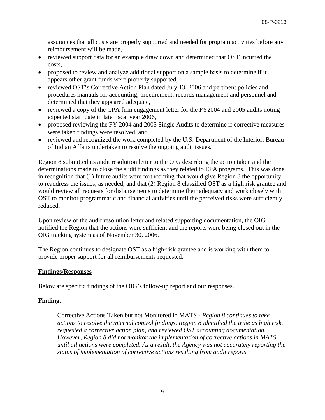assurances that all costs are properly supported and needed for program activities before any reimbursement will be made,

- reviewed support data for an example draw down and determined that OST incurred the costs,
- proposed to review and analyze additional support on a sample basis to determine if it appears other grant funds were properly supported,
- reviewed OST's Corrective Action Plan dated July 13, 2006 and pertinent policies and procedures manuals for accounting, procurement, records management and personnel and determined that they appeared adequate,
- reviewed a copy of the CPA firm engagement letter for the FY2004 and 2005 audits noting expected start date in late fiscal year 2006,
- proposed reviewing the FY 2004 and 2005 Single Audits to determine if corrective measures were taken findings were resolved, and
- reviewed and recognized the work completed by the U.S. Department of the Interior, Bureau of Indian Affairs undertaken to resolve the ongoing audit issues.

Region 8 submitted its audit resolution letter to the OIG describing the action taken and the determinations made to close the audit findings as they related to EPA programs. This was done in recognition that (1) future audits were forthcoming that would give Region 8 the opportunity to readdress the issues, as needed, and that (2) Region 8 classified OST as a high risk grantee and would review all requests for disbursements to determine their adequacy and work closely with OST to monitor programmatic and financial activities until the perceived risks were sufficiently reduced.

Upon review of the audit resolution letter and related supporting documentation, the OIG notified the Region that the actions were sufficient and the reports were being closed out in the OIG tracking system as of November 30, 2006.

The Region continues to designate OST as a high-risk grantee and is working with them to provide proper support for all reimbursements requested.

## **Findings/Responses**

Below are specific findings of the OIG's follow-up report and our responses.

#### **Finding**:

Corrective Actions Taken but not Monitored in MATS - *Region 8 continues to take actions to resolve the internal control findings. Region 8 identified the tribe as high risk, requested a corrective action plan, and reviewed OST accounting documentation. However, Region 8 did not monitor the implementation of corrective actions in MATS until all actions were completed. As a result, the Agency was not accurately reporting the status of implementation of corrective actions resulting from audit reports.*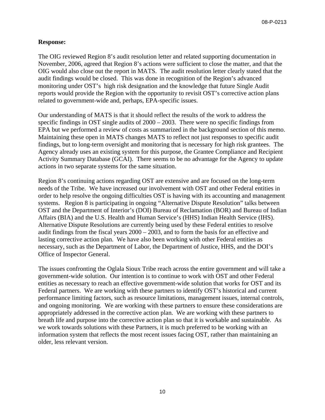#### **Response:**

The OIG reviewed Region 8's audit resolution letter and related supporting documentation in November, 2006, agreed that Region 8's actions were sufficient to close the matter, and that the OIG would also close out the report in MATS. The audit resolution letter clearly stated that the audit findings would be closed. This was done in recognition of the Region's advanced monitoring under OST's high risk designation and the knowledge that future Single Audit reports would provide the Region with the opportunity to revisit OST's corrective action plans related to government-wide and, perhaps, EPA-specific issues.

Our understanding of MATS is that it should reflect the results of the work to address the specific findings in OST single audits of 2000 – 2003. There were no specific findings from EPA but we performed a review of costs as summarized in the background section of this memo. Maintaining these open in MATS changes MATS to reflect not just responses to specific audit findings, but to long-term oversight and monitoring that is necessary for high risk grantees. The Agency already uses an existing system for this purpose, the Grantee Compliance and Recipient Activity Summary Database (GCAI). There seems to be no advantage for the Agency to update actions in two separate systems for the same situation.

Region 8's continuing actions regarding OST are extensive and are focused on the long-term needs of the Tribe. We have increased our involvement with OST and other Federal entities in order to help resolve the ongoing difficulties OST is having with its accounting and management systems. Region 8 is participating in ongoing "Alternative Dispute Resolution" talks between OST and the Department of Interior's (DOI) Bureau of Reclamation (BOR) and Bureau of Indian Affairs (BIA) and the U.S. Health and Human Service's (HHS) Indian Health Service (IHS). Alternative Dispute Resolutions are currently being used by these Federal entities to resolve audit findings from the fiscal years 2000 – 2003, and to form the basis for an effective and lasting corrective action plan. We have also been working with other Federal entities as necessary, such as the Department of Labor, the Department of Justice, HHS, and the DOI's Office of Inspector General.

The issues confronting the Oglala Sioux Tribe reach across the entire government and will take a government-wide solution. Our intention is to continue to work with OST and other Federal entities as necessary to reach an effective government-wide solution that works for OST and its Federal partners. We are working with these partners to identify OST's historical and current performance limiting factors, such as resource limitations, management issues, internal controls, and ongoing monitoring. We are working with these partners to ensure these considerations are appropriately addressed in the corrective action plan. We are working with these partners to breath life and purpose into the corrective action plan so that it is workable and sustainable. As we work towards solutions with these Partners, it is much preferred to be working with an information system that reflects the most recent issues facing OST, rather than maintaining an older, less relevant version.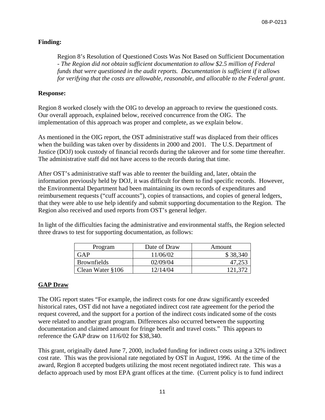## **Finding:**

Region 8's Resolution of Questioned Costs Was Not Based on Sufficient Documentation - *The Region did not obtain sufficient documentation to allow \$2.5 million of Federal funds that were questioned in the audit reports. Documentation is sufficient if it allows for verifying that the costs are allowable, reasonable, and allocable to the Federal grant*.

## **Response:**

Region 8 worked closely with the OIG to develop an approach to review the questioned costs. Our overall approach, explained below, received concurrence from the OIG. The implementation of this approach was proper and complete, as we explain below.

As mentioned in the OIG report, the OST administrative staff was displaced from their offices when the building was taken over by dissidents in 2000 and 2001. The U.S. Department of Justice (DOJ) took custody of financial records during the takeover and for some time thereafter. The administrative staff did not have access to the records during that time.

After OST's administrative staff was able to reenter the building and, later, obtain the information previously held by DOJ, it was difficult for them to find specific records. However, the Environmental Department had been maintaining its own records of expenditures and reimbursement requests ("cuff accounts"), copies of transactions, and copies of general ledgers, that they were able to use help identify and submit supporting documentation to the Region. The Region also received and used reports from OST's general ledger.

In light of the difficulties facing the administrative and environmental staffs, the Region selected three draws to test for supporting documentation, as follows:

| Program            | Date of Draw | Amount   |
|--------------------|--------------|----------|
| GAP                | 11/06/02     | \$38,340 |
| <b>Brownfields</b> | 02/09/04     | 47,253   |
| Clean Water §106   | 12/14/04     | 121.372  |

## **GAP Draw**

The OIG report states "For example, the indirect costs for one draw significantly exceeded historical rates, OST did not have a negotiated indirect cost rate agreement for the period the request covered, and the support for a portion of the indirect costs indicated some of the costs were related to another grant program. Differences also occurred between the supporting documentation and claimed amount for fringe benefit and travel costs." This appears to reference the GAP draw on 11/6/02 for \$38,340.

This grant, originally dated June 7, 2000, included funding for indirect costs using a 32% indirect cost rate. This was the provisional rate negotiated by OST in August, 1996. At the time of the award, Region 8 accepted budgets utilizing the most recent negotiated indirect rate. This was a defacto approach used by most EPA grant offices at the time. (Current policy is to fund indirect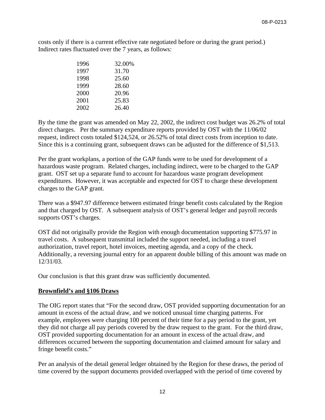costs only if there is a current effective rate negotiated before or during the grant period.) Indirect rates fluctuated over the 7 years, as follows:

| 1996 | 32.00% |
|------|--------|
| 1997 | 31.70  |
| 1998 | 25.60  |
| 1999 | 28.60  |
| 2000 | 20.96  |
| 2001 | 25.83  |
| 2002 | 26.40  |

By the time the grant was amended on May 22, 2002, the indirect cost budget was 26.2% of total direct charges. Per the summary expenditure reports provided by OST with the 11/06/02 request, indirect costs totaled \$124,524, or 26.52% of total direct costs from inception to date. Since this is a continuing grant, subsequent draws can be adjusted for the difference of \$1,513.

Per the grant workplans, a portion of the GAP funds were to be used for development of a hazardous waste program. Related charges, including indirect, were to be charged to the GAP grant. OST set up a separate fund to account for hazardous waste program development expenditures. However, it was acceptable and expected for OST to charge these development charges to the GAP grant.

There was a \$947.97 difference between estimated fringe benefit costs calculated by the Region and that charged by OST. A subsequent analysis of OST's general ledger and payroll records supports OST's charges.

OST did not originally provide the Region with enough documentation supporting \$775.97 in travel costs. A subsequent transmittal included the support needed, including a travel authorization, travel report, hotel invoices, meeting agenda, and a copy of the check. Additionally, a reversing journal entry for an apparent double billing of this amount was made on 12/31/03.

Our conclusion is that this grant draw was sufficiently documented.

#### **Brownfield's and §106 Draws**

The OIG report states that "For the second draw, OST provided supporting documentation for an amount in excess of the actual draw, and we noticed unusual time charging patterns. For example, employees were charging 100 percent of their time for a pay period to the grant, yet they did not charge all pay periods covered by the draw request to the grant. For the third draw, OST provided supporting documentation for an amount in excess of the actual draw, and differences occurred between the supporting documentation and claimed amount for salary and fringe benefit costs."

Per an analysis of the detail general ledger obtained by the Region for these draws, the period of time covered by the support documents provided overlapped with the period of time covered by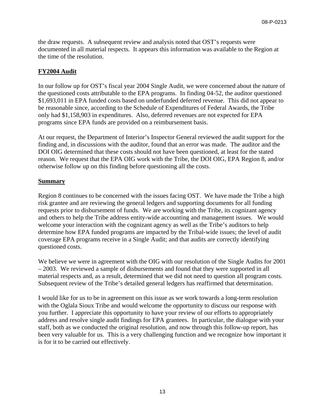the draw requests. A subsequent review and analysis noted that OST's requests were documented in all material respects. It appears this information was available to the Region at the time of the resolution.

## **FY2004 Audit**

In our follow up for OST's fiscal year 2004 Single Audit, we were concerned about the nature of the questioned costs attributable to the EPA programs. In finding 04-52, the auditor questioned \$1,693,011 in EPA funded costs based on underfunded deferred revenue. This did not appear to be reasonable since, according to the Schedule of Expenditures of Federal Awards, the Tribe only had \$1,158,903 in expenditures. Also, deferred revenues are not expected for EPA programs since EPA funds are provided on a reimbursement basis.

At our request, the Department of Interior's Inspector General reviewed the audit support for the finding and, in discussions with the auditor, found that an error was made. The auditor and the DOI OIG determined that these costs should not have been questioned, at least for the stated reason. We request that the EPA OIG work with the Tribe, the DOI OIG, EPA Region 8, and/or otherwise follow up on this finding before questioning all the costs.

## **Summary**

Region 8 continues to be concerned with the issues facing OST. We have made the Tribe a high risk grantee and are reviewing the general ledgers and supporting documents for all funding requests prior to disbursement of funds. We are working with the Tribe, its cognizant agency and others to help the Tribe address entity-wide accounting and management issues. We would welcome your interaction with the cognizant agency as well as the Tribe's auditors to help determine how EPA funded programs are impacted by the Tribal-wide issues; the level of audit coverage EPA programs receive in a Single Audit; and that audits are correctly identifying questioned costs.

We believe we were in agreement with the OIG with our resolution of the Single Audits for 2001 – 2003. We reviewed a sample of disbursements and found that they were supported in all material respects and, as a result, determined that we did not need to question all program costs. Subsequent review of the Tribe's detailed general ledgers has reaffirmed that determination.

I would like for us to be in agreement on this issue as we work towards a long-term resolution with the Oglala Sioux Tribe and would welcome the opportunity to discuss our response with you further. I appreciate this opportunity to have your review of our efforts to appropriately address and resolve single audit findings for EPA grantees. In particular, the dialogue with your staff, both as we conducted the original resolution, and now through this follow-up report, has been very valuable for us. This is a very challenging function and we recognize how important it is for it to be carried out effectively.